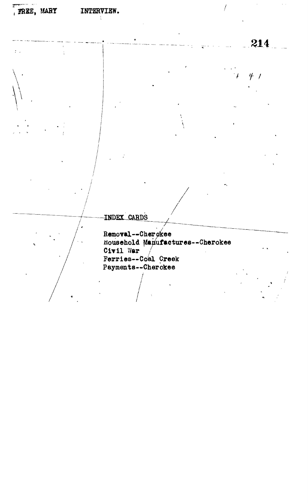t

**\ •**

**214**

 $\overline{1}$ 

 $\bar{z}$  .

**f /**

 $\cdot$  f

INDEX CARDS

**Removal—Cherokee Household Manufactures—Cherokee** Civil War **Ferries—Coal Creek Payments—Cherokee**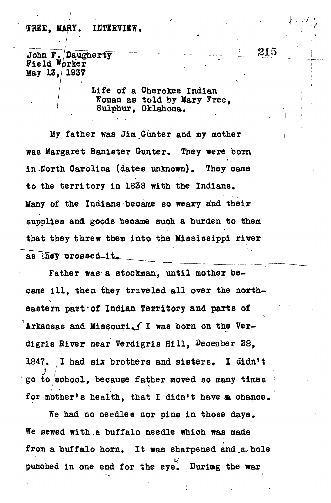## FREE, MARY. INTERVIEW.

John F. Daugherty Field Worker **May 13,/1937**

**Life of a Cherokee Indian Woman as told by Mary Free.** Sulphur. Oklahoma.

**/ i**

**My father was Jim Gunter and my mother was Margaret Banister Gunter. They were born in-North Carolina (dates unknown). They oame to the territory in 1838 with the Indians, Many of the Indians became so weary and their supplies and goods became such a burden to them that they threw them into the Mississippi river** as they crossed it.

Father was a stookman, until mother be**came ill, then they traveled all over the north**eastern part of Indian Territory and parts of Arkansas and Missouri. I was born on the Ver**digris River near Verdigris Hill, Deoember 28, 1847. I had six brothers and sisters. I didn't go to eohool, because father moved so many times for mother's health, that I didn»t have a, ohanoe.**

**We had no needles nor pins in those days. We sewed with a buffalo needle which was made from a buffalo horn. It was sharpened and ,a< hole punohed in one end for the eye. Durimg the war**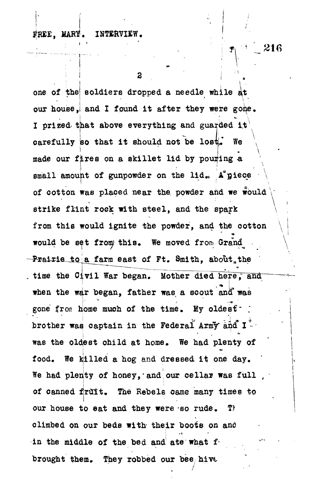## FREE, MARY. INTERVIE

216

 $\mathcal{F}$ 

2

one of the soldiers dropped a needle while at our house, and I found it after they were gone. **I prized- that above everything and guarded i:** carefully so that it should not be lost. We **made our fires on a skillet lid by pouring -a** small amount of gunpowder on the lid. A<sup>\*</sup>piece **of ootton was placed near the, powder and we would strike flint rock with steel, and the spark from this would ignite the powder, and the ootton would be set from; this. We moved from Grand^ -Prairie to a farm east of Ft. Smith, about the i~~ ~——\*—-— ^ ^** time the Civil War began. Mother died here, and gone from home much of the time. My oldest<sup>-</sup> **brother waq captain in the Federal Army aid I was the oldest child at home. We had plenty of food. We killed a hog and dressed it one day. We had plenty of honey,'and our cellar was full , j of canned fruit. The Rebels oame many times to** our house to eat and they were so rude. T) **climbed on our beds with their boots on ana** in the middle of the bed and ate what f. brought them. They robbed our bee hive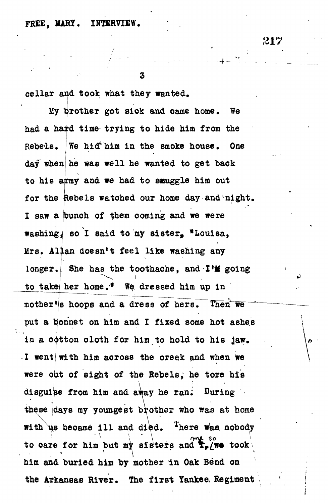## **FREE, MARY. INTERVIEW.**

3

**oellar and took what they wanted.**

**My brother got siok and oame home. We had a hard time trying to hide him from the** Rebels. **We hid him in the smoke house. One day when he was well he wanted to get baok to his army and we had to snuggle him out for the Rebels watoned our home day and night.** I saw a bunch of them coming and we were **washingJ so I said to my sister, "Louisa, Mrs. Allan doesn't feel like washing any** longer. She has the toothache, and I'M going **to take her home.<sup>11</sup> We dressed him up in '**  $m$ other<sup>*i*</sup> is hoops and a dress of hers. Then we **put a bonnet on him and I fixed some hot ashes in a ootton cloth for him to hold to his jaw. I went with him across the oreek and when we were out of sight of the Rebels, he tore his disguise from him and away he ran; During •** these days my youngest brother who was at home **with us became ill and died. <sup>A</sup>here was, nobody**  $\text{to}$  care for him but my sisters and  $\mathbf{F}_p$  (we took) him and buried him by mother in Oak Bend on the Arkansas River. The first Yankee Regiment

**the Arkansas River. The first Yankee, Regiment**

217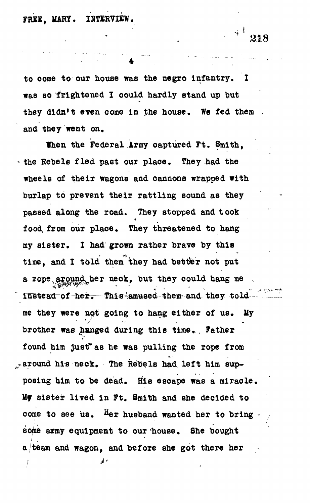**FREE, MARY, INTERVIEW,**

**<sup>1</sup> 218**

**\***

**to oome to our house was the negro infantry. I was so frightened I could hardly stand up but they didn't even oome in the house. We fed them , and they went on.**

**When the Federal Army oaptured Ft. 8mith, the Rebels fled past our place. They had the wheels of their wagons and cannons wrapped with burlap to prevent their rattling sound as they passed along the road. They stopped and t ook food, from our place. They threatened to hang my sister , I had grown rather brave by this** time, and I told them they had better not put a rope around her neck, but they could hang me  ${\tt instead\ of\ her.}$  This amused them and they told me they were not going to hang either of us. My brother was hunged during this time. Father **found him just\* as he was pulling the rope from \* around his neok. The Rebels had. left him supposing him to be dead. His escape was a miracle. My sister lived in Ft. Smith and she deoided to come to see us.** Her husband wanted her to bring  $\cdot$ **some army equipment to our house. She bought a /team and wagon, and before she got there her -**م ابي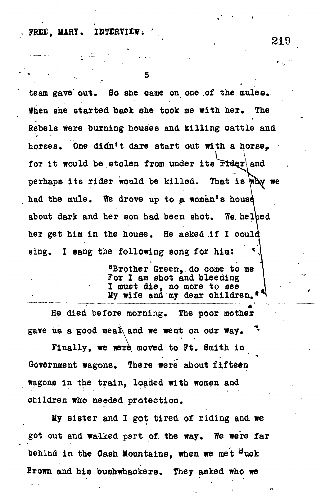**FREE, MARY,**

**5**

**team gave out. So she oame on one of the mules. When she started baok she took me with her. The Rebels were burning houses and killing oattie and horses. One didn't dare start out with a horse, for it would be stolen from under its** perhaps its rider would be killed. That is why we had the mule. We drove up to a woman's house **about dark and her son had been shot. We, helbed her get him in the house. He asked .if I ooulc** sing. I sang the following song for him: **°Brother Green,, do oome to me For I am shot and bleeding I must die , no more to see**

**He died before morning. The poor mother gave us a good meal and we went on our way. %**

**My wife and my dear ohildren."**

Finally, we were moved to Ft. Smith in **Government wagons. There were about fifteen Wagons in the train, loaded with women and children who needed proteotion.**

**My sister and I got tired of riding and we** got out and walked part of the way. We were far behind in the Cash Mountains, when we met <sup>B</sup>uck **Brown and his bushwhackers. They asked who we**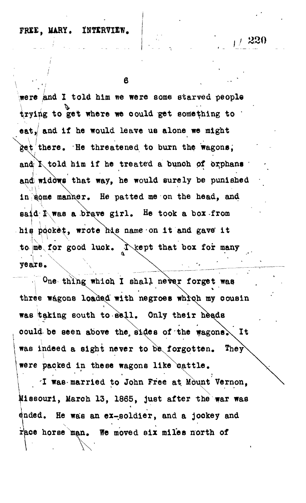## **FRXE, MARY, iNTtRVIIW.**

 $/ 220$ 

 $\mathbf{B}$ 

**were and I told him we were some starved people** trying to get where we could get something to " **eat, and if he would leave us alone we might there. He threatened to burn the wagons,** and **K** told him if he treated a bunch of orphans **and\ widows that way, he would surely be punished** in some manner. He patted me on the head, and **said; I was a brave girl . He took a box from** his pooket, wrote his name on it and gave it to me for good luck. I kept that box for many **ye air s**

**They"** One thing which I shall never forget was three wagons loaded with negroes which my cousin **was taking south to sell . Only their** could be seen above the sides of the wagons. It **oould be seen above the si dee of the fagonsV^ It were packed in these wagons like eattle.** 

I was married to John Free at Mount Missouri, March 13, 1865, just after the war was dnded. He was an ex-soldier, and a jookey and race horse man. We moved six miles north of

**r'ace horse man. We moved six miles north of**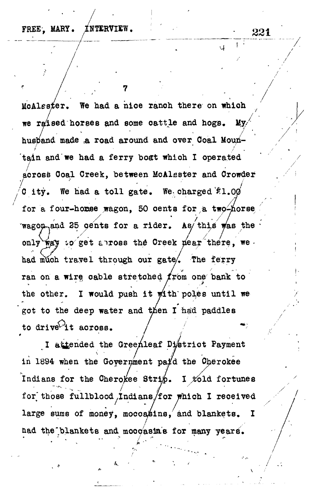$\mathbf{A}^{\text{out}}$ 

 $\cup$ 

**/**

**7**

MoAlester. We had a nice ranch there on which **we raised horses and some cattle and hogs. My/** husband made a road around and over Coal Mountain and we had a ferry boat which I operated across Coal Creek, between McAlsster and Crowder d ity. We had a toll gate. We charged <sup>\$</sup>1.00 for a four-homse wagon. 50 cents for a two-horse  $f_{\text{waggon}, \text{and}}$  25 oents for a rider. As this was the only way to get anross the Creek dear there, we *'S* **/ / /**  had much travel through our gate<sup>2</sup>. The ferry ran on a wirg cable stretched  $f$ rom one bank to the other. I would push it with poles until we got to the deep water and then I had paddles to drive<sup>1</sup>it across.

I attended the Greenleaf District Payment in 1894 when the Government pa<sup>y</sup>d the Oherokee **in 1894 when the Government pa/d the O^rokee** *I* **Indians for the Cherokee Stri£. I^l d fortunes forv those fullblood Indians/for which I received large sums of money, moccasins, and blankets, I** had the blankets and moogasins for many years.